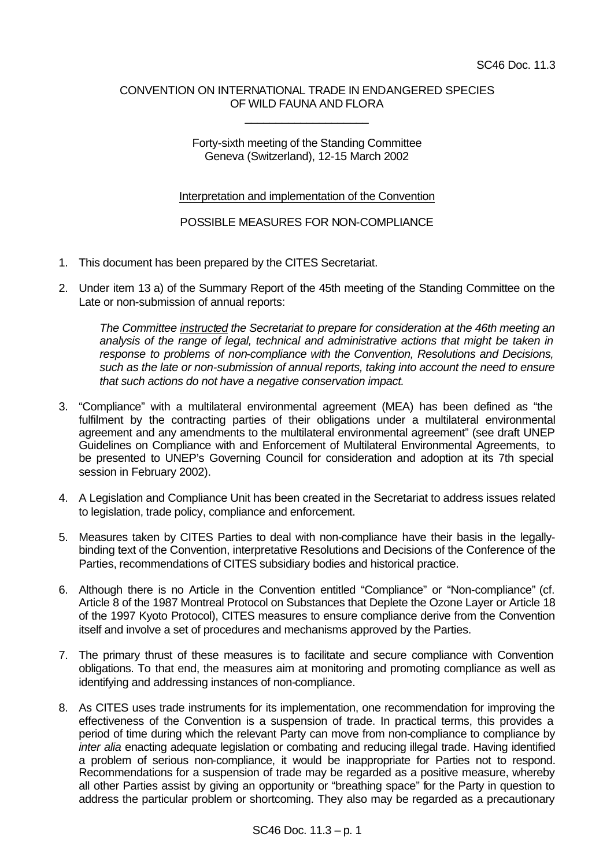## CONVENTION ON INTERNATIONAL TRADE IN ENDANGERED SPECIES OF WILD FAUNA AND FLORA

\_\_\_\_\_\_\_\_\_\_\_\_\_\_\_\_\_\_\_\_

Forty-sixth meeting of the Standing Committee Geneva (Switzerland), 12-15 March 2002

Interpretation and implementation of the Convention

POSSIBLE MEASURES FOR NON-COMPLIANCE

- 1. This document has been prepared by the CITES Secretariat.
- 2. Under item 13 a) of the Summary Report of the 45th meeting of the Standing Committee on the Late or non-submission of annual reports:

*The Committee instructed the Secretariat to prepare for consideration at the 46th meeting an analysis of the range of legal, technical and administrative actions that might be taken in response to problems of non-compliance with the Convention, Resolutions and Decisions, such as the late or non-submission of annual reports, taking into account the need to ensure that such actions do not have a negative conservation impact.*

- 3. "Compliance" with a multilateral environmental agreement (MEA) has been defined as "the fulfilment by the contracting parties of their obligations under a multilateral environmental agreement and any amendments to the multilateral environmental agreement" (see draft UNEP Guidelines on Compliance with and Enforcement of Multilateral Environmental Agreements, to be presented to UNEP's Governing Council for consideration and adoption at its 7th special session in February 2002).
- 4. A Legislation and Compliance Unit has been created in the Secretariat to address issues related to legislation, trade policy, compliance and enforcement.
- 5. Measures taken by CITES Parties to deal with non-compliance have their basis in the legallybinding text of the Convention, interpretative Resolutions and Decisions of the Conference of the Parties, recommendations of CITES subsidiary bodies and historical practice.
- 6. Although there is no Article in the Convention entitled "Compliance" or "Non-compliance" (cf. Article 8 of the 1987 Montreal Protocol on Substances that Deplete the Ozone Layer or Article 18 of the 1997 Kyoto Protocol), CITES measures to ensure compliance derive from the Convention itself and involve a set of procedures and mechanisms approved by the Parties.
- 7. The primary thrust of these measures is to facilitate and secure compliance with Convention obligations. To that end, the measures aim at monitoring and promoting compliance as well as identifying and addressing instances of non-compliance.
- 8. As CITES uses trade instruments for its implementation, one recommendation for improving the effectiveness of the Convention is a suspension of trade. In practical terms, this provides a period of time during which the relevant Party can move from non-compliance to compliance by *inter alia* enacting adequate legislation or combating and reducing illegal trade. Having identified a problem of serious non-compliance, it would be inappropriate for Parties not to respond. Recommendations for a suspension of trade may be regarded as a positive measure, whereby all other Parties assist by giving an opportunity or "breathing space" for the Party in question to address the particular problem or shortcoming. They also may be regarded as a precautionary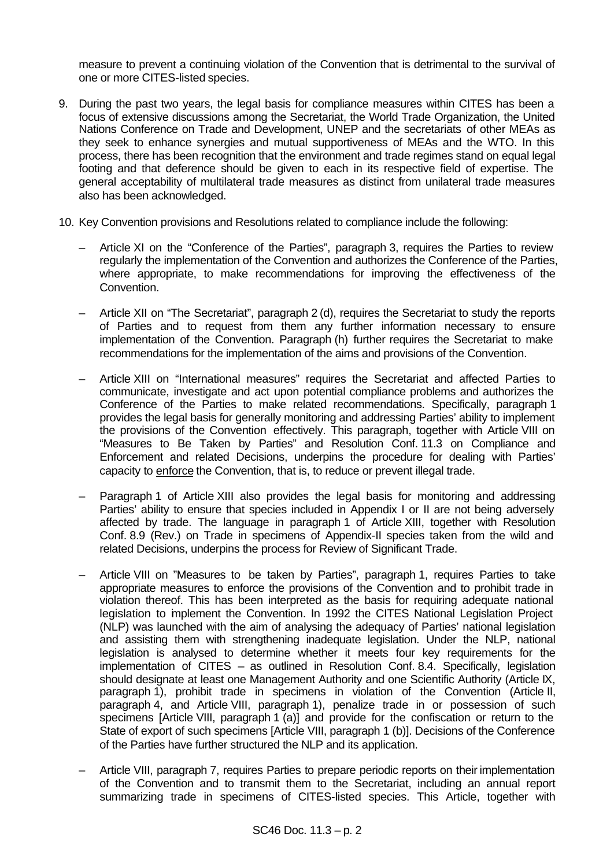measure to prevent a continuing violation of the Convention that is detrimental to the survival of one or more CITES-listed species.

- 9. During the past two years, the legal basis for compliance measures within CITES has been a focus of extensive discussions among the Secretariat, the World Trade Organization, the United Nations Conference on Trade and Development, UNEP and the secretariats of other MEAs as they seek to enhance synergies and mutual supportiveness of MEAs and the WTO. In this process, there has been recognition that the environment and trade regimes stand on equal legal footing and that deference should be given to each in its respective field of expertise. The general acceptability of multilateral trade measures as distinct from unilateral trade measures also has been acknowledged.
- 10. Key Convention provisions and Resolutions related to compliance include the following:
	- Article XI on the "Conference of the Parties", paragraph 3, requires the Parties to review regularly the implementation of the Convention and authorizes the Conference of the Parties, where appropriate, to make recommendations for improving the effectiveness of the Convention.
	- Article XII on "The Secretariat", paragraph 2 (d), requires the Secretariat to study the reports of Parties and to request from them any further information necessary to ensure implementation of the Convention. Paragraph (h) further requires the Secretariat to make recommendations for the implementation of the aims and provisions of the Convention.
	- Article XIII on "International measures" requires the Secretariat and affected Parties to communicate, investigate and act upon potential compliance problems and authorizes the Conference of the Parties to make related recommendations. Specifically, paragraph 1 provides the legal basis for generally monitoring and addressing Parties' ability to implement the provisions of the Convention effectively. This paragraph, together with Article VIII on "Measures to Be Taken by Parties" and Resolution Conf. 11.3 on Compliance and Enforcement and related Decisions, underpins the procedure for dealing with Parties' capacity to enforce the Convention, that is, to reduce or prevent illegal trade.
	- Paragraph 1 of Article XIII also provides the legal basis for monitoring and addressing Parties' ability to ensure that species included in Appendix I or II are not being adversely affected by trade. The language in paragraph 1 of Article XIII, together with Resolution Conf. 8.9 (Rev.) on Trade in specimens of Appendix-II species taken from the wild and related Decisions, underpins the process for Review of Significant Trade.
	- Article VIII on "Measures to be taken by Parties", paragraph 1, requires Parties to take appropriate measures to enforce the provisions of the Convention and to prohibit trade in violation thereof. This has been interpreted as the basis for requiring adequate national legislation to implement the Convention. In 1992 the CITES National Legislation Project (NLP) was launched with the aim of analysing the adequacy of Parties' national legislation and assisting them with strengthening inadequate legislation. Under the NLP, national legislation is analysed to determine whether it meets four key requirements for the implementation of CITES – as outlined in Resolution Conf. 8.4. Specifically, legislation should designate at least one Management Authority and one Scientific Authority (Article IX, paragraph 1), prohibit trade in specimens in violation of the Convention (Article II, paragraph 4, and Article VIII, paragraph 1), penalize trade in or possession of such specimens [Article VIII, paragraph 1 (a)] and provide for the confiscation or return to the State of export of such specimens [Article VIII, paragraph 1 (b)]. Decisions of the Conference of the Parties have further structured the NLP and its application.
	- Article VIII, paragraph 7, requires Parties to prepare periodic reports on their implementation of the Convention and to transmit them to the Secretariat, including an annual report summarizing trade in specimens of CITES-listed species. This Article, together with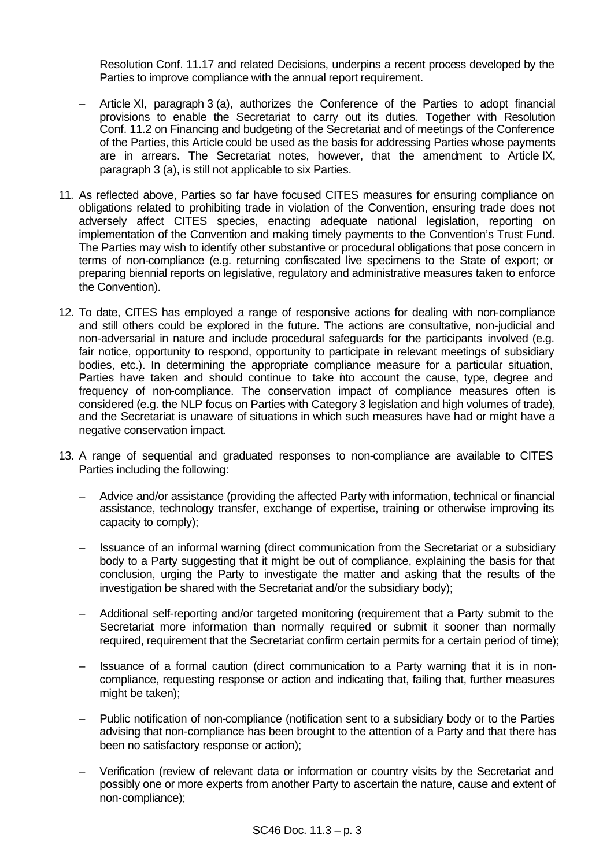Resolution Conf. 11.17 and related Decisions, underpins a recent process developed by the Parties to improve compliance with the annual report requirement.

- Article XI, paragraph 3 (a), authorizes the Conference of the Parties to adopt financial provisions to enable the Secretariat to carry out its duties. Together with Resolution Conf. 11.2 on Financing and budgeting of the Secretariat and of meetings of the Conference of the Parties, this Article could be used as the basis for addressing Parties whose payments are in arrears. The Secretariat notes, however, that the amendment to Article IX, paragraph 3 (a), is still not applicable to six Parties.
- 11. As reflected above, Parties so far have focused CITES measures for ensuring compliance on obligations related to prohibiting trade in violation of the Convention, ensuring trade does not adversely affect CITES species, enacting adequate national legislation, reporting on implementation of the Convention and making timely payments to the Convention's Trust Fund. The Parties may wish to identify other substantive or procedural obligations that pose concern in terms of non-compliance (e.g. returning confiscated live specimens to the State of export; or preparing biennial reports on legislative, regulatory and administrative measures taken to enforce the Convention).
- 12. To date, CITES has employed a range of responsive actions for dealing with non-compliance and still others could be explored in the future. The actions are consultative, non-judicial and non-adversarial in nature and include procedural safeguards for the participants involved (e.g. fair notice, opportunity to respond, opportunity to participate in relevant meetings of subsidiary bodies, etc.). In determining the appropriate compliance measure for a particular situation, Parties have taken and should continue to take into account the cause, type, degree and frequency of non-compliance. The conservation impact of compliance measures often is considered (e.g. the NLP focus on Parties with Category 3 legislation and high volumes of trade), and the Secretariat is unaware of situations in which such measures have had or might have a negative conservation impact.
- 13. A range of sequential and graduated responses to non-compliance are available to CITES Parties including the following:
	- Advice and/or assistance (providing the affected Party with information, technical or financial assistance, technology transfer, exchange of expertise, training or otherwise improving its capacity to comply);
	- Issuance of an informal warning (direct communication from the Secretariat or a subsidiary body to a Party suggesting that it might be out of compliance, explaining the basis for that conclusion, urging the Party to investigate the matter and asking that the results of the investigation be shared with the Secretariat and/or the subsidiary body);
	- Additional self-reporting and/or targeted monitoring (requirement that a Party submit to the Secretariat more information than normally required or submit it sooner than normally required, requirement that the Secretariat confirm certain permits for a certain period of time);
	- Issuance of a formal caution (direct communication to a Party warning that it is in noncompliance, requesting response or action and indicating that, failing that, further measures might be taken);
	- Public notification of non-compliance (notification sent to a subsidiary body or to the Parties advising that non-compliance has been brought to the attention of a Party and that there has been no satisfactory response or action);
	- Verification (review of relevant data or information or country visits by the Secretariat and possibly one or more experts from another Party to ascertain the nature, cause and extent of non-compliance);